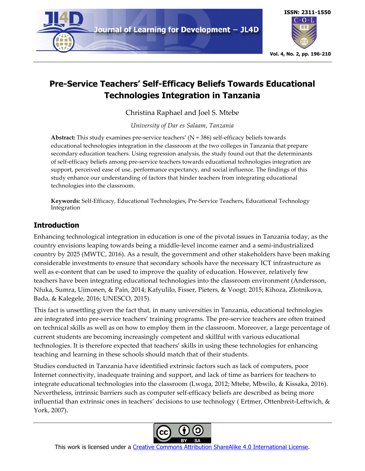



# **Pre-Service Teachers' Self-Efficacy Beliefs Towards Educational Technologies Integration in Tanzania**

Christina Raphael and Joel S. Mtebe

*University of Dar es Salaam, Tanzania*

**Abstract:** This study examines pre-service teachers' (N = 386) self-efficacy beliefs towards educational technologies integration in the classroom at the two colleges in Tanzania that prepare secondary education teachers. Using regression analysis, the study found out that the determinants of self-efficacy beliefs among pre-service teachers towards educational technologies integration are support, perceived ease of use, performance expectancy, and social influence. The findings of this study enhance our understanding of factors that hinder teachers from integrating educational technologies into the classroom.

**Keywords:** Self-Efficacy, Educational Technologies, Pre-Service Teachers, Educational Technology Integration

# **Introduction**

Enhancing technological integration in education is one of the pivotal issues in Tanzania today, as the country envisions leaping towards being a middle-level income earner and a semi-industrialized country by 2025 (MWTC, 2016). As a result, the government and other stakeholders have been making considerable investments to ensure that secondary schools have the necessary ICT infrastructure as well as e-content that can be used to improve the quality of education. However, relatively few teachers have been integrating educational technologies into the classroom environment (Andersson, Nfuka, Sumra, Uimonen, & Pain, 2014; Kafyulilo, Fisser, Pieters, & Voogt, 2015; Kihoza, Zlotnikova, Bada, & Kalegele, 2016; UNESCO, 2015).

This fact is unsettling given the fact that, in many universities in Tanzania, educational technologies are integrated into pre-service teachers' training programs. The pre-service teachers are often trained on technical skills as well as on how to employ them in the classroom. Moreover, a large percentage of current students are becoming increasingly competent and skillful with various educational technologies. It is therefore expected that teachers' skills in using these technologies for enhancing teaching and learning in these schools should match that of their students.

Studies conducted in Tanzania have identified extrinsic factors such as lack of computers, poor Internet connectivity, inadequate training and support, and lack of time as barriers for teachers to integrate educational technologies into the classroom (Lwoga, 2012; Mtebe, Mbwilo, & Kissaka, 2016). Nevertheless, intrinsic barriers such as computer self-efficacy beliefs are described as being more influential than extrinsic ones in teachers' decisions to use technology (Ertmer, Ottenbreit-Leftwich, & York, 2007).

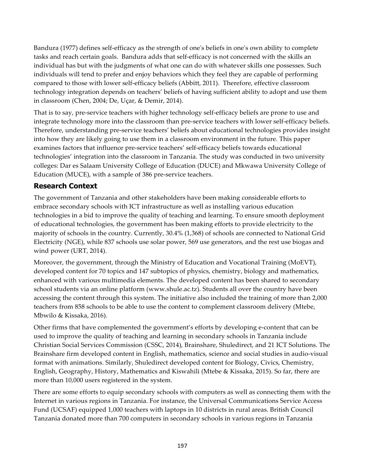Bandura (1977) defines self-efficacy as the strength of one's beliefs in one's own ability to complete tasks and reach certain goals. Bandura adds that self-efficacy is not concerned with the skills an individual has but with the judgments of what one can do with whatever skills one possesses. Such individuals will tend to prefer and enjoy behaviors which they feel they are capable of performing compared to those with lower self-efficacy beliefs (Abbitt, 2011). Therefore, effective classroom technology integration depends on teachers' beliefs of having sufficient ability to adopt and use them in classroom (Chen, 2004; De, Uçar, & Demir, 2014).

That is to say, pre-service teachers with higher technology self-efficacy beliefs are prone to use and integrate technology more into the classroom than pre-service teachers with lower self-efficacy beliefs. Therefore, understanding pre-service teachers' beliefs about educational technologies provides insight into how they are likely going to use them in a classroom environment in the future. This paper examines factors that influence pre-service teachers' self-efficacy beliefs towards educational technologies' integration into the classroom in Tanzania. The study was conducted in two university colleges: Dar es Salaam University College of Education (DUCE) and Mkwawa University College of Education (MUCE), with a sample of 386 pre-service teachers.

### **Research Context**

The government of Tanzania and other stakeholders have been making considerable efforts to embrace secondary schools with ICT infrastructure as well as installing various education technologies in a bid to improve the quality of teaching and learning. To ensure smooth deployment of educational technologies, the government has been making efforts to provide electricity to the majority of schools in the country. Currently, 30.4% (1,368) of schools are connected to National Grid Electricity (NGE), while 837 schools use solar power, 569 use generators, and the rest use biogas and wind power (URT, 2014).

Moreover, the government, through the Ministry of Education and Vocational Training (MoEVT), developed content for 70 topics and 147 subtopics of physics, chemistry, biology and mathematics, enhanced with various multimedia elements. The developed content has been shared to secondary school students via an online platform (www.shule.ac.tz). Students all over the country have been accessing the content through this system. The initiative also included the training of more than 2,000 teachers from 858 schools to be able to use the content to complement classroom delivery (Mtebe, Mbwilo & Kissaka, 2016).

Other firms that have complemented the government's efforts by developing e-content that can be used to improve the quality of teaching and learning in secondary schools in Tanzania include Christian Social Services Commission (CSSC, 2014), Brainshare, Shuledirect, and 21 ICT Solutions. The Brainshare firm developed content in English, mathematics, science and social studies in audio-visual format with animations. Similarly, Shuledirect developed content for Biology, Civics, Chemistry, English, Geography, History, Mathematics and Kiswahili (Mtebe & Kissaka, 2015). So far, there are more than 10,000 users registered in the system.

There are some efforts to equip secondary schools with computers as well as connecting them with the Internet in various regions in Tanzania. For instance, the Universal Communications Service Access Fund (UCSAF) equipped 1,000 teachers with laptops in 10 districts in rural areas. British Council Tanzania donated more than 700 computers in secondary schools in various regions in Tanzania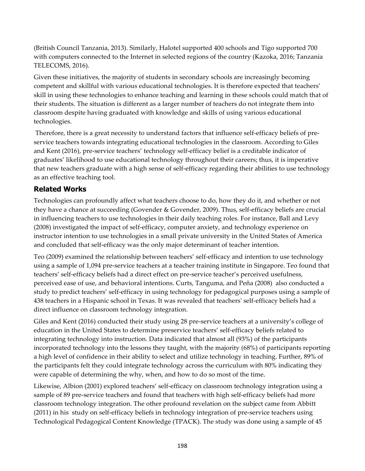(British Council Tanzania, 2013). Similarly, Halotel supported 400 schools and Tigo supported 700 with computers connected to the Internet in selected regions of the country (Kazoka, 2016; Tanzania TELECOMS, 2016).

Given these initiatives, the majority of students in secondary schools are increasingly becoming competent and skillful with various educational technologies. It is therefore expected that teachers' skill in using these technologies to enhance teaching and learning in these schools could match that of their students. The situation is different as a larger number of teachers do not integrate them into classroom despite having graduated with knowledge and skills of using various educational technologies.

Therefore, there is a great necessity to understand factors that influence self-efficacy beliefs of preservice teachers towards integrating educational technologies in the classroom. According to Giles and Kent (2016), pre-service teachers' technology self-efficacy belief is a creditable indicator of graduates' likelihood to use educational technology throughout their careers; thus, it is imperative that new teachers graduate with a high sense of self-efficacy regarding their abilities to use technology as an effective teaching tool.

# **Related Works**

Technologies can profoundly affect what teachers choose to do, how they do it, and whether or not they have a chance at succeeding (Govender & Govender, 2009). Thus, self-efficacy beliefs are crucial in influencing teachers to use technologies in their daily teaching roles. For instance, Ball and Levy (2008) investigated the impact of self-efficacy, computer anxiety, and technology experience on instructor intention to use technologies in a small private university in the United States of America and concluded that self-efficacy was the only major determinant of teacher intention.

Teo (2009) examined the relationship between teachers' self-efficacy and intention to use technology using a sample of 1,094 pre-service teachers at a teacher training institute in Singapore. Teo found that teachers' self-efficacy beliefs had a direct effect on pre-service teacher's perceived usefulness, perceived ease of use, and behavioral intentions. Curts, Tanguma, and Peña (2008) also conducted a study to predict teachers' self-efficacy in using technology for pedagogical purposes using a sample of 438 teachers in a Hispanic school in Texas. It was revealed that teachers' self-efficacy beliefs had a direct influence on classroom technology integration.

Giles and Kent (2016) conducted their study using 28 pre-service teachers at a university's college of education in the United States to determine preservice teachers' self-efficacy beliefs related to integrating technology into instruction. Data indicated that almost all (93%) of the participants incorporated technology into the lessons they taught, with the majority (68%) of participants reporting a high level of confidence in their ability to select and utilize technology in teaching. Further, 89% of the participants felt they could integrate technology across the curriculum with 80% indicating they were capable of determining the why, when, and how to do so most of the time.

Likewise, Albion (2001) explored teachers' self-efficacy on classroom technology integration using a sample of 89 pre-service teachers and found that teachers with high self-efficacy beliefs had more classroom technology integration. The other profound revelation on the subject came from Abbitt (2011) in his study on self-efficacy beliefs in technology integration of pre-service teachers using Technological Pedagogical Content Knowledge (TPACK). The study was done using a sample of 45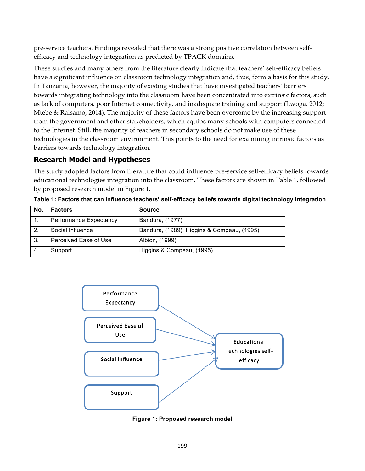pre-service teachers. Findings revealed that there was a strong positive correlation between selfefficacy and technology integration as predicted by TPACK domains.

These studies and many others from the literature clearly indicate that teachers' self-efficacy beliefs have a significant influence on classroom technology integration and, thus, form a basis for this study. In Tanzania, however, the majority of existing studies that have investigated teachers' barriers towards integrating technology into the classroom have been concentrated into extrinsic factors, such as lack of computers, poor Internet connectivity, and inadequate training and support (Lwoga, 2012; Mtebe & Raisamo, 2014). The majority of these factors have been overcome by the increasing support from the government and other stakeholders, which equips many schools with computers connected to the Internet. Still, the majority of teachers in secondary schools do not make use of these technologies in the classroom environment. This points to the need for examining intrinsic factors as barriers towards technology integration.

## **Research Model and Hypotheses**

The study adopted factors from literature that could influence pre-service self-efficacy beliefs towards educational technologies integration into the classroom. These factors are shown in Table 1, followed by proposed research model in Figure 1.

| No. | <b>Factors</b>         | <b>Source</b>                              |
|-----|------------------------|--------------------------------------------|
|     | Performance Expectancy | Bandura, (1977)                            |
| 2.  | Social Influence       | Bandura, (1989); Higgins & Compeau, (1995) |
| -3. | Perceived Ease of Use  | Albion, (1999)                             |
|     | Support                | Higgins & Compeau, (1995)                  |

**Table 1: Factors that can influence teachers' self-efficacy beliefs towards digital technology integration**



**Figure 1: Proposed research model**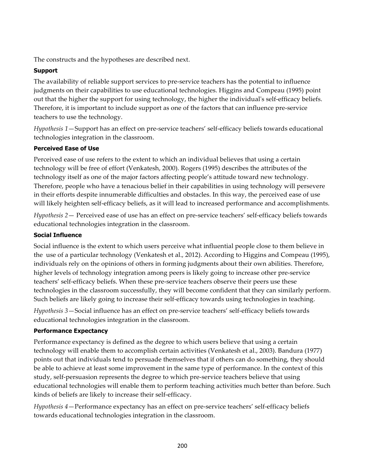The constructs and the hypotheses are described next.

#### **Support**

The availability of reliable support services to pre-service teachers has the potential to influence judgments on their capabilities to use educational technologies. Higgins and Compeau (1995) point out that the higher the support for using technology, the higher the individual's self-efficacy beliefs. Therefore, it is important to include support as one of the factors that can influence pre-service teachers to use the technology.

*Hypothesis 1*—Support has an effect on pre-service teachers' self-efficacy beliefs towards educational technologies integration in the classroom.

#### **Perceived Ease of Use**

Perceived ease of use refers to the extent to which an individual believes that using a certain technology will be free of effort (Venkatesh, 2000). Rogers (1995) describes the attributes of the technology itself as one of the major factors affecting people's attitude toward new technology. Therefore, people who have a tenacious belief in their capabilities in using technology will persevere in their efforts despite innumerable difficulties and obstacles. In this way, the perceived ease of use will likely heighten self-efficacy beliefs, as it will lead to increased performance and accomplishments.

*Hypothesis 2*— Perceived ease of use has an effect on pre-service teachers' self-efficacy beliefs towards educational technologies integration in the classroom.

#### **Social Influence**

Social influence is the extent to which users perceive what influential people close to them believe in the use of a particular technology (Venkatesh et al., 2012). According to Higgins and Compeau (1995), individuals rely on the opinions of others in forming judgments about their own abilities. Therefore, higher levels of technology integration among peers is likely going to increase other pre-service teachers' self-efficacy beliefs. When these pre-service teachers observe their peers use these technologies in the classroom successfully, they will become confident that they can similarly perform. Such beliefs are likely going to increase their self-efficacy towards using technologies in teaching.

*Hypothesis 3*—Social influence has an effect on pre-service teachers' self-efficacy beliefs towards educational technologies integration in the classroom.

### **Performance Expectancy**

Performance expectancy is defined as the degree to which users believe that using a certain technology will enable them to accomplish certain activities (Venkatesh et al., 2003). Bandura (1977) points out that individuals tend to persuade themselves that if others can do something, they should be able to achieve at least some improvement in the same type of performance. In the context of this study, self-persuasion represents the degree to which pre-service teachers believe that using educational technologies will enable them to perform teaching activities much better than before. Such kinds of beliefs are likely to increase their self-efficacy.

*Hypothesis 4*—Performance expectancy has an effect on pre-service teachers' self-efficacy beliefs towards educational technologies integration in the classroom.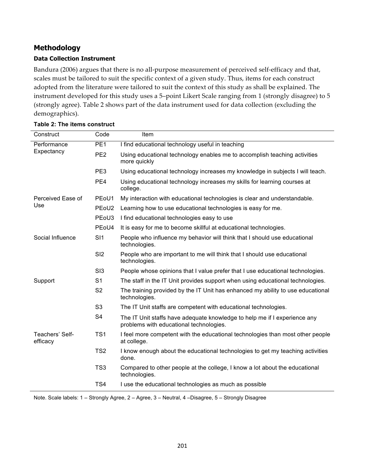# **Methodology**

#### **Data Collection Instrument**

Bandura (2006) argues that there is no all-purpose measurement of perceived self-efficacy and that, scales must be tailored to suit the specific context of a given study. Thus, items for each construct adopted from the literature were tailored to suit the context of this study as shall be explained. The instrument developed for this study uses a 5–point Likert Scale ranging from 1 (strongly disagree) to 5 (strongly agree). Table 2 shows part of the data instrument used for data collection (excluding the demographics).

| Performance<br>PE <sub>1</sub>                 |                                |                                                                                                                      |  |  |
|------------------------------------------------|--------------------------------|----------------------------------------------------------------------------------------------------------------------|--|--|
|                                                |                                | I find educational technology useful in teaching                                                                     |  |  |
| Expectancy<br>PE <sub>2</sub>                  |                                | Using educational technology enables me to accomplish teaching activities<br>more quickly                            |  |  |
| PE3                                            |                                | Using educational technology increases my knowledge in subjects I will teach.                                        |  |  |
| PE <sub>4</sub>                                |                                | Using educational technology increases my skills for learning courses at<br>college.                                 |  |  |
| Perceived Ease of                              | PE <sub>o</sub> U1             | My interaction with educational technologies is clear and understandable.                                            |  |  |
| Use                                            | PE <sub>o</sub> U <sub>2</sub> | Learning how to use educational technologies is easy for me.                                                         |  |  |
|                                                | PE <sub>o</sub> U <sub>3</sub> | I find educational technologies easy to use                                                                          |  |  |
|                                                | PE <sub>oU4</sub>              | It is easy for me to become skillful at educational technologies.                                                    |  |  |
| Social Influence<br>SI1                        |                                | People who influence my behavior will think that I should use educational<br>technologies.                           |  |  |
| SI2                                            |                                | People who are important to me will think that I should use educational<br>technologies.                             |  |  |
| S13                                            |                                | People whose opinions that I value prefer that I use educational technologies.                                       |  |  |
| S <sub>1</sub><br>Support                      |                                | The staff in the IT Unit provides support when using educational technologies.                                       |  |  |
| S <sub>2</sub>                                 |                                | The training provided by the IT Unit has enhanced my ability to use educational<br>technologies.                     |  |  |
| S <sub>3</sub>                                 |                                | The IT Unit staffs are competent with educational technologies.                                                      |  |  |
| S <sub>4</sub>                                 |                                | The IT Unit staffs have adequate knowledge to help me if I experience any<br>problems with educational technologies. |  |  |
| TS <sub>1</sub><br>Teachers' Self-<br>efficacy |                                | I feel more competent with the educational technologies than most other people<br>at college.                        |  |  |
| TS <sub>2</sub>                                |                                | I know enough about the educational technologies to get my teaching activities<br>done.                              |  |  |
| TS <sub>3</sub>                                |                                | Compared to other people at the college, I know a lot about the educational<br>technologies.                         |  |  |
| TS4                                            |                                | I use the educational technologies as much as possible                                                               |  |  |

#### **Table 2: The items construct**

Note. Scale labels: 1 – Strongly Agree, 2 – Agree, 3 – Neutral, 4 –Disagree, 5 – Strongly Disagree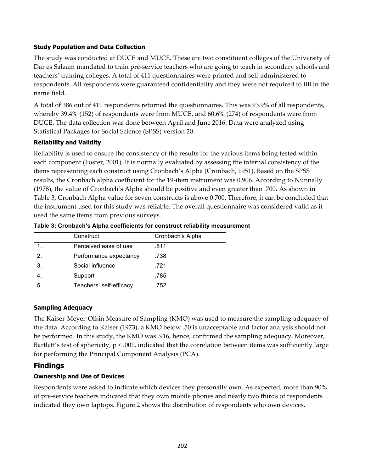#### **Study Population and Data Collection**

The study was conducted at DUCE and MUCE. These are two constituent colleges of the University of Dar es Salaam mandated to train pre-service teachers who are going to teach in secondary schools and teachers' training colleges. A total of 411 questionnaires were printed and self-administered to respondents. All respondents were guaranteed confidentiality and they were not required to fill in the name field.

A total of 386 out of 411 respondents returned the questionnaires. This was 93.9% of all respondents, whereby 39.4% (152) of respondents were from MUCE, and 60.6% (274) of respondents were from DUCE. The data collection was done between April and June 2016. Data were analyzed using Statistical Packages for Social Science (SPSS) version 20.

#### **Reliability and Validity**

Reliability is used to ensure the consistency of the results for the various items being tested within each component (Foster, 2001). It is normally evaluated by assessing the internal consistency of the items representing each construct using Cronbach's Alpha (Cronbach, 1951). Based on the SPSS results, the Cronbach alpha coefficient for the 19-item instrument was 0.906. According to Nunnally (1978), the value of Cronbach's Alpha should be positive and even greater than .700. As shown in Table 3, Cronbach Alpha value for seven constructs is above 0.700. Therefore, it can be concluded that the instrument used for this study was reliable. The overall questionnaire was considered valid as it used the same items from previous surveys.

|    | Construct               | Cronbach's Alpha |
|----|-------------------------|------------------|
|    | Perceived ease of use   | .811             |
| 2. | Performance expectancy  | .738             |
| 3. | Social influence        | .721             |
| 4. | Support                 | .785             |
| 5. | Teachers' self-efficacy | .752             |

**Table 3: Cronbach's Alpha coefficients for construct reliability measurement**

#### **Sampling Adequacy**

The Kaiser-Meyer-Olkin Measure of Sampling (KMO) was used to measure the sampling adequacy of the data. According to Kaiser (1973), a KMO below .50 is unacceptable and factor analysis should not be performed. In this study, the KMO was .916, hence, confirmed the sampling adequacy. Moreover, Bartlett's test of sphericity, p < .001, indicated that the correlation between items was sufficiently large for performing the Principal Component Analysis (PCA).

### **Findings**

#### **Ownership and Use of Devices**

Respondents were asked to indicate which devices they personally own. As expected, more than 90% of pre-service teachers indicated that they own mobile phones and nearly two thirds of respondents indicated they own laptops. Figure 2 shows the distribution of respondents who own devices.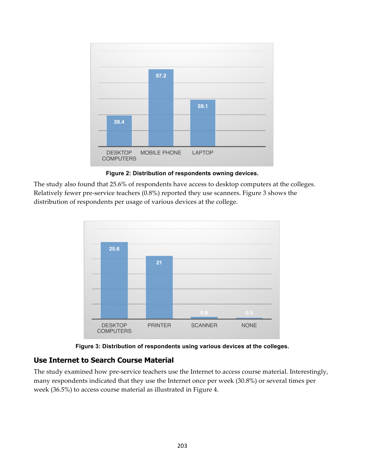



The study also found that 25.6% of respondents have access to desktop computers at the colleges. Relatively fewer pre-service teachers (0.8%) reported they use scanners. Figure 3 shows the distribution of respondents per usage of various devices at the college.





### **Use Internet to Search Course Material**

The study examined how pre-service teachers use the Internet to access course material. Interestingly, many respondents indicated that they use the Internet once per week (30.8%) or several times per week (36.5%) to access course material as illustrated in Figure 4.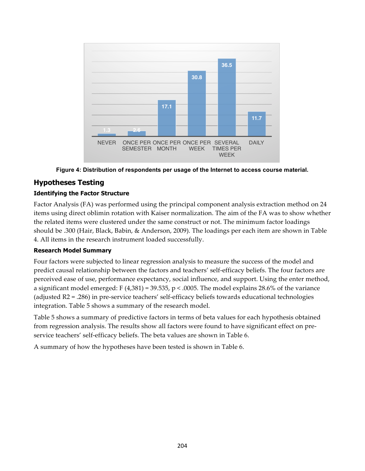

**Figure 4: Distribution of respondents per usage of the Internet to access course material.**

# **Hypotheses Testing**

#### **Identifying the Factor Structure**

Factor Analysis (FA) was performed using the principal component analysis extraction method on 24 items using direct oblimin rotation with Kaiser normalization. The aim of the FA was to show whether the related items were clustered under the same construct or not. The minimum factor loadings should be .300 (Hair, Black, Babin, & Anderson, 2009). The loadings per each item are shown in Table 4. All items in the research instrument loaded successfully.

#### **Research Model Summary**

Four factors were subjected to linear regression analysis to measure the success of the model and predict causal relationship between the factors and teachers' self-efficacy beliefs. The four factors are perceived ease of use, performance expectancy, social influence, and support. Using the enter method, a significant model emerged: F  $(4,381) = 39.535$ , p < .0005. The model explains 28.6% of the variance (adjusted R2 = .286) in pre-service teachers' self-efficacy beliefs towards educational technologies integration. Table 5 shows a summary of the research model.

Table 5 shows a summary of predictive factors in terms of beta values for each hypothesis obtained from regression analysis. The results show all factors were found to have significant effect on preservice teachers' self-efficacy beliefs. The beta values are shown in Table 6.

A summary of how the hypotheses have been tested is shown in Table 6.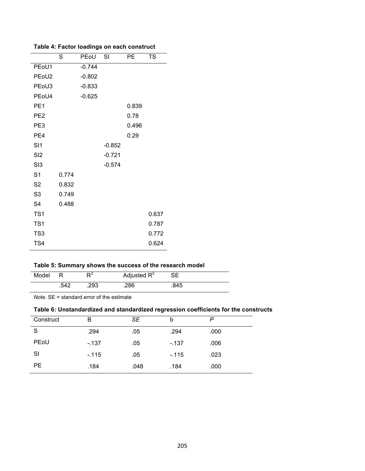|                                | S     | PEoU     | SI       | PE    | <b>TS</b> |
|--------------------------------|-------|----------|----------|-------|-----------|
| PE <sub>oU1</sub>              |       | $-0.744$ |          |       |           |
| PE <sub>o</sub> U <sub>2</sub> |       | $-0.802$ |          |       |           |
| PE <sub>oU3</sub>              |       | $-0.833$ |          |       |           |
| PE <sub>oU4</sub>              |       | $-0.625$ |          |       |           |
| PE <sub>1</sub>                |       |          |          | 0.839 |           |
| PE <sub>2</sub>                |       |          |          | 0.78  |           |
| PE3                            |       |          |          | 0.496 |           |
| PE4                            |       |          |          | 0.29  |           |
| SI1                            |       |          | $-0.852$ |       |           |
| S <sub>12</sub>                |       |          | $-0.721$ |       |           |
| S13                            |       |          | $-0.574$ |       |           |
| S <sub>1</sub>                 | 0.774 |          |          |       |           |
| S <sub>2</sub>                 | 0.832 |          |          |       |           |
| S <sub>3</sub>                 | 0.749 |          |          |       |           |
| S <sub>4</sub>                 | 0.488 |          |          |       |           |
| TS <sub>1</sub>                |       |          |          |       | 0.637     |
| TS <sub>1</sub>                |       |          |          |       | 0.787     |
| TS <sub>3</sub>                |       |          |          |       | 0.772     |
| TS4                            |       |          |          |       | 0.624     |

| Model |      | D4   | Adjusted $R^2$ |      |  |
|-------|------|------|----------------|------|--|
|       | .542 | .293 | .286           | .845 |  |

*Note.* SE = standard error of the estimate

## **Table 6***:* **Unstandardized and standardized regression coefficients for the constructs**

| Construct | в       | SE   | b      | P    |  |
|-----------|---------|------|--------|------|--|
| S         | .294    | .05  | .294   | .000 |  |
| PEoU      | $-.137$ | .05  | $-137$ | .006 |  |
| SI        | $-115$  | .05  | $-115$ | .023 |  |
| PE        | .184    | .048 | .184   | .000 |  |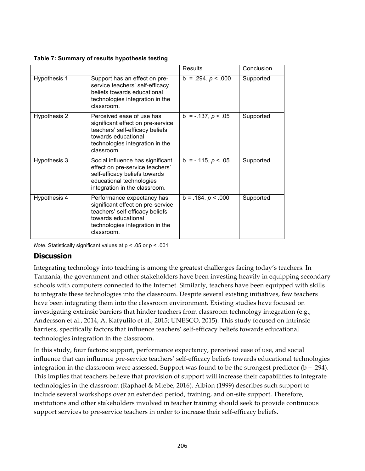**Table 7: Summary of results hypothesis testing**

|              |                                                                                                                                                                            | <b>Results</b>         | Conclusion |
|--------------|----------------------------------------------------------------------------------------------------------------------------------------------------------------------------|------------------------|------------|
| Hypothesis 1 | Support has an effect on pre-<br>service teachers' self-efficacy<br>beliefs towards educational<br>technologies integration in the<br>classroom.                           | $b = .294, p < .000$   | Supported  |
| Hypothesis 2 | Perceived ease of use has<br>significant effect on pre-service<br>teachers' self-efficacy beliefs<br>towards educational<br>technologies integration in the<br>classroom.  | $b = -137, p < 0.05$   | Supported  |
| Hypothesis 3 | Social influence has significant<br>effect on pre-service teachers'<br>self-efficacy beliefs towards<br>educational technologies<br>integration in the classroom.          | $b = -0.115, p < 0.05$ | Supported  |
| Hypothesis 4 | Performance expectancy has<br>significant effect on pre-service<br>teachers' self-efficacy beliefs<br>towards educational<br>technologies integration in the<br>classroom. | $b = .184, p < .000$   | Supported  |

*Note*. Statistically significant values at p < .05 or p < .001

### **Discussion**

Integrating technology into teaching is among the greatest challenges facing today's teachers. In Tanzania, the government and other stakeholders have been investing heavily in equipping secondary schools with computers connected to the Internet. Similarly, teachers have been equipped with skills to integrate these technologies into the classroom. Despite several existing initiatives, few teachers have been integrating them into the classroom environment. Existing studies have focused on investigating extrinsic barriers that hinder teachers from classroom technology integration (e.g., Andersson et al., 2014; A. Kafyulilo et al., 2015; UNESCO, 2015). This study focused on intrinsic barriers, specifically factors that influence teachers' self-efficacy beliefs towards educational technologies integration in the classroom.

In this study, four factors: support, performance expectancy, perceived ease of use, and social influence that can influence pre-service teachers' self-efficacy beliefs towards educational technologies integration in the classroom were assessed. Support was found to be the strongest predictor ( $b = .294$ ). This implies that teachers believe that provision of support will increase their capabilities to integrate technologies in the classroom (Raphael & Mtebe, 2016). Albion (1999) describes such support to include several workshops over an extended period, training, and on-site support. Therefore, institutions and other stakeholders involved in teacher training should seek to provide continuous support services to pre-service teachers in order to increase their self-efficacy beliefs.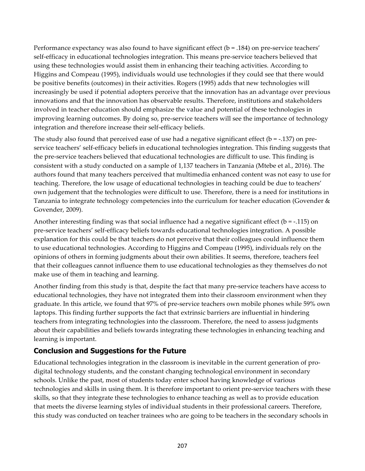Performance expectancy was also found to have significant effect (b = .184) on pre-service teachers' self-efficacy in educational technologies integration. This means pre-service teachers believed that using these technologies would assist them in enhancing their teaching activities. According to Higgins and Compeau (1995), individuals would use technologies if they could see that there would be positive benefits (outcomes) in their activities. Rogers (1995) adds that new technologies will increasingly be used if potential adopters perceive that the innovation has an advantage over previous innovations and that the innovation has observable results. Therefore, institutions and stakeholders involved in teacher education should emphasize the value and potential of these technologies in improving learning outcomes. By doing so, pre-service teachers will see the importance of technology integration and therefore increase their self-efficacy beliefs.

The study also found that perceived ease of use had a negative significant effect ( $b = -137$ ) on preservice teachers' self-efficacy beliefs in educational technologies integration. This finding suggests that the pre-service teachers believed that educational technologies are difficult to use. This finding is consistent with a study conducted on a sample of 1,137 teachers in Tanzania (Mtebe et al., 2016). The authors found that many teachers perceived that multimedia enhanced content was not easy to use for teaching. Therefore, the low usage of educational technologies in teaching could be due to teachers' own judgement that the technologies were difficult to use. Therefore, there is a need for institutions in Tanzania to integrate technology competencies into the curriculum for teacher education (Govender & Govender, 2009).

Another interesting finding was that social influence had a negative significant effect ( $b = -0.115$ ) on pre-service teachers' self-efficacy beliefs towards educational technologies integration. A possible explanation for this could be that teachers do not perceive that their colleagues could influence them to use educational technologies. According to Higgins and Compeau (1995), individuals rely on the opinions of others in forming judgments about their own abilities. It seems, therefore, teachers feel that their colleagues cannot influence them to use educational technologies as they themselves do not make use of them in teaching and learning.

Another finding from this study is that, despite the fact that many pre-service teachers have access to educational technologies, they have not integrated them into their classroom environment when they graduate. In this article, we found that 97% of pre-service teachers own mobile phones while 59% own laptops. This finding further supports the fact that extrinsic barriers are influential in hindering teachers from integrating technologies into the classroom. Therefore, the need to assess judgments about their capabilities and beliefs towards integrating these technologies in enhancing teaching and learning is important.

### **Conclusion and Suggestions for the Future**

Educational technologies integration in the classroom is inevitable in the current generation of prodigital technology students, and the constant changing technological environment in secondary schools. Unlike the past, most of students today enter school having knowledge of various technologies and skills in using them. It is therefore important to orient pre-service teachers with these skills, so that they integrate these technologies to enhance teaching as well as to provide education that meets the diverse learning styles of individual students in their professional careers. Therefore, this study was conducted on teacher trainees who are going to be teachers in the secondary schools in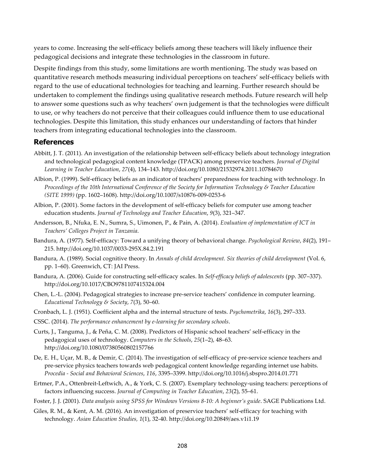years to come. Increasing the self-efficacy beliefs among these teachers will likely influence their pedagogical decisions and integrate these technologies in the classroom in future.

Despite findings from this study, some limitations are worth mentioning. The study was based on quantitative research methods measuring individual perceptions on teachers' self-efficacy beliefs with regard to the use of educational technologies for teaching and learning. Further research should be undertaken to complement the findings using qualitative research methods. Future research will help to answer some questions such as why teachers' own judgement is that the technologies were difficult to use, or why teachers do not perceive that their colleagues could influence them to use educational technologies. Despite this limitation, this study enhances our understanding of factors that hinder teachers from integrating educational technologies into the classroom.

#### **References**

- Abbitt, J. T. (2011). An investigation of the relationship between self-efficacy beliefs about technology integration and technological pedagogical content knowledge (TPACK) among preservice teachers. *Journal of Digital Learning in Teacher Education*, *27*(4), 134–143. http://doi.org/10.1080/21532974.2011.10784670
- Albion, P. (1999). Self-efficacy beliefs as an indicator of teachers' preparedness for teaching with technology. In *Proceedings of the 10th International Conference of the Society for Information Technology & Teacher Education (SITE 1999)* (pp. 1602–1608). http://doi.org/10.1007/s10876-009-0253-6
- Albion, P. (2001). Some factors in the development of self-efficacy beliefs for computer use among teacher education students. *Journal of Technology and Teacher Education*, *9*(3), 321–347.
- Andersson, B., Nfuka, E. N., Sumra, S., Uimonen, P., & Pain, A. (2014). *Evaluation of implementation of ICT in Teachers' Colleges Project in Tanzania*.
- Bandura, A. (1977). Self-efficacy: Toward a unifying theory of behavioral change. *Psychological Review*, *84*(2), 191– 215. http://doi.org/10.1037/0033-295X.84.2.191
- Bandura, A. (1989). Social cognitive theory. In *Annals of child development. Six theories of child development* (Vol. 6, pp. 1–60). Greenwich, CT: JAI Press.
- Bandura, A. (2006). Guide for constructing self-efficacy scales. In *Self-efficacy beliefs of adolescents* (pp. 307–337). http://doi.org/10.1017/CBO9781107415324.004
- Chen, L.-L. (2004). Pedagogical strategies to increase pre-service teachers' confidence in computer learning. *Educational Technology & Society*, *7*(3), 50–60.
- Cronbach, L. J. (1951). Coefficient alpha and the internal structure of tests. *Psychometrika*, *16*(3), 297–333.
- CSSC. (2014). *The performance enhancement by e-learning for secondary schools*.
- Curts, J., Tanguma, J., & Peña, C. M. (2008). Predictors of Hispanic school teachers' self-efficacy in the pedagogical uses of technology. *Computers in the Schools*, *25*(1–2), 48–63. http://doi.org/10.1080/07380560802157766
- De, E. H., Uçar, M. B., & Demir, C. (2014). The investigation of self-efficacy of pre-service science teachers and pre-service physics teachers towards web pedagogical content knowledge regarding internet use habits. *Procedia - Social and Behavioral Sciences*, *116*, 3395–3399. http://doi.org/10.1016/j.sbspro.2014.01.771
- Ertmer, P.A., Ottenbreit-Leftwich, A., & York, C. S. (2007). Exemplary technology-using teachers: perceptions of factors influencing success. *Journal of Computing in Teacher Education*, *23*(2), 55–61.
- Foster, J. J. (2001). *Data analysis using SPSS for Windows Versions 8-10: A beginner's guide*. SAGE Publications Ltd.
- Giles, R. M., & Kent, A. M. (2016). An investigation of preservice teachers' self-efficacy for teaching with technology. *Asian Education Studies, 1*(1), 32-40. http://doi.org/10.20849/aes.v1i1.19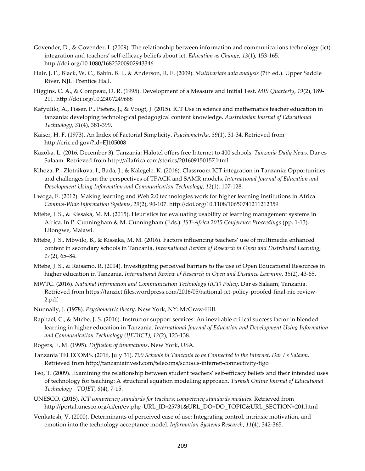- Govender, D., & Govender, I. (2009). The relationship between information and communications technology (ict) integration and teachers' self-efficacy beliefs about ict. *Education as Change*, *13*(1), 153-165. http://doi.org/10.1080/16823200902943346
- Hair, J. F., Black, W. C., Babin, B. J., & Anderson, R. E. (2009). *Multivariate data analysis* (7th ed.). Upper Saddle River, NJL: Prentice Hall.
- Higgins, C. A., & Compeau, D. R. (1995). Development of a Measure and Initial Test. *MIS Quarterly*, *19*(2), 189- 211. http://doi.org/10.2307/249688
- Kafyulilo, A., Fisser, P., Pieters, J., & Voogt, J. (2015). ICT Use in science and mathematics teacher education in tanzania: developing technological pedagogical content knowledge. *Australasian Journal of Educational Technology*, *31*(4), 381-399.
- Kaiser, H. F. (1973). An Index of Factorial Simplicity. *Psychometrika*, *39*(1), 31-34. Retrieved from http://eric.ed.gov/?id=EJ105008
- Kazoka, L. (2016, December 3). Tanzania: Halotel offers free Internet to 400 schools. *Tanzania Daily News*. Dar es Salaam. Retrieved from http://allafrica.com/stories/201609150157.html
- Kihoza, P., Zlotnikova, I., Bada, J., & Kalegele, K. (2016). Classroom ICT integration in Tanzania: Opportunities and challenges from the perspectives of TPACK and SAMR models. *International Journal of Education and Development Using Information and Communication Technology*, *12*(1), 107-128.
- Lwoga, E. (2012). Making learning and Web 2.0 technologies work for higher learning institutions in Africa. *Campus-Wide Information Systems*, *29*(2), 90-107. http://doi.org/10.1108/10650741211212359
- Mtebe, J. S., & Kissaka, M. M. (2015). Heuristics for evaluating usability of learning management systems in Africa. In P. Cunningham & M. Cunningham (Eds.). *IST-Africa 2015 Conference Proceedings* (pp. 1-13). Lilongwe, Malawi.
- Mtebe, J. S., Mbwilo, B., & Kissaka, M. M. (2016). Factors influencing teachers' use of multimedia enhanced content in secondary schools in Tanzania. *International Review of Research in Open and Distributed Learning*, *17*(2), 65–84.
- Mtebe, J. S., & Raisamo, R. (2014). Investigating perceived barriers to the use of Open Educational Resources in higher education in Tanzania. *International Review of Research in Open and Distance Learning*, *15*(2), 43-65.
- MWTC. (2016). *National Information and Communication Technology (ICT) Policy*. Dar es Salaam, Tanzania. Retrieved from https://tanzict.files.wordpress.com/2016/05/national-ict-policy-proofed-final-nic-review-2.pdf
- Nunnally, J. (1978). *Psychometric theory*. New York, NY: McGraw-Hill.
- Raphael, C., & Mtebe, J. S. (2016). Instructor support services: An inevitable critical success factor in blended learning in higher education in Tanzania. *International Journal of Education and Development Using Information and Communication Technology (IJEDICT)*, *12*(2), 123-138.
- Rogers, E. M. (1995). *Diffusion of innovations*. New York, USA.
- Tanzania TELECOMS. (2016, July 31). *700 Schools in Tanzania to be Connected to the Internet. Dar Es Salaam*. Retrieved from http://tanzaniainvest.com/telecoms/schools-internet-connectivity-tigo
- Teo, T. (2009). Examining the relationship between student teachers' self-efficacy beliefs and their intended uses of technology for teaching: A structural equation modelling approach. *Turkish Online Journal of Educational Technology - TOJET*, *8*(4), 7-15.
- UNESCO. (2015). *ICT competency standards for teachers: competency standards modules*. Retrieved from http://portal.unesco.org/ci/en/ev.php-URL\_ID=25731&URL\_DO=DO\_TOPIC&URL\_SECTION=201.html
- Venkatesh, V. (2000). Determinants of perceived ease of use: Integrating control, intrinsic motivation, and emotion into the technology acceptance model. *Information Systems Research*, *11*(4), 342-365.